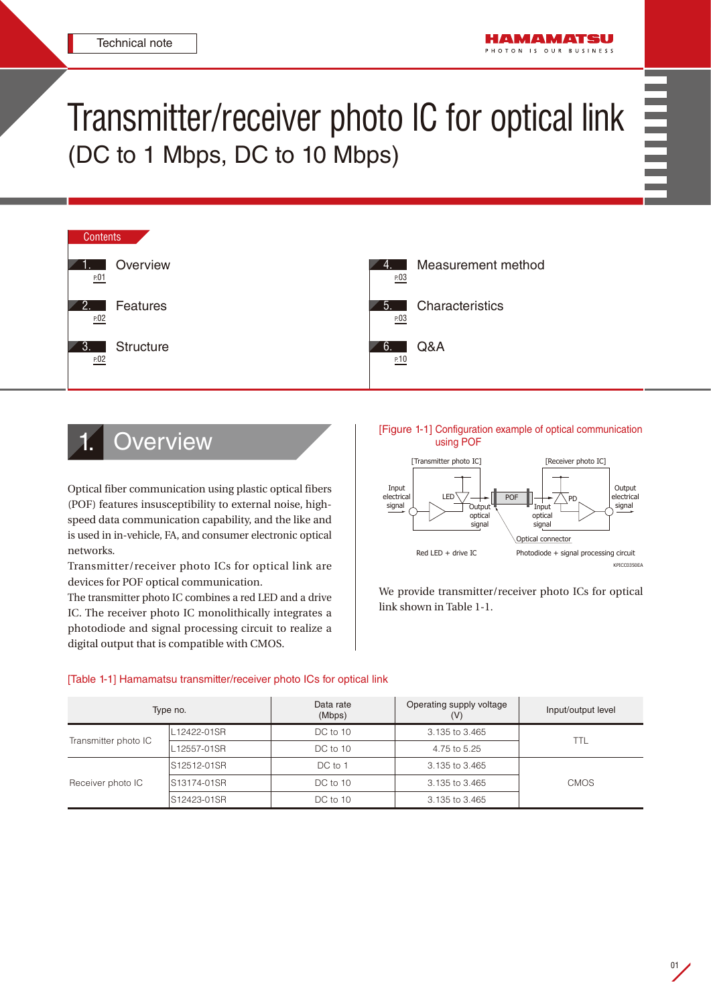# Transmitter/receiver photo IC for optical link (DC to 1 Mbps, DC to 10 Mbps)



# **Overview**

Optical fiber communication using plastic optical fibers (POF) features insusceptibility to external noise, highspeed data communication capability, and the like and is used in in-vehicle, FA, and consumer electronic optical networks.

Transmitter/receiver photo ICs for optical link are devices for POF optical communication.

The transmitter photo IC combines a red LED and a drive IC. The receiver photo IC monolithically integrates a photodiode and signal processing circuit to realize a digital output that is compatible with CMOS.

[Figure 1-1] Configuration example of optical communication using POF



We provide transmitter/receiver photo ICs for optical link shown in Table 1-1.

# [Table 1-1] Hamamatsu transmitter/receiver photo ICs for optical link

| Type no.             |              | Data rate<br>(Mbps) | Operating supply voltage<br>(V) | Input/output level |
|----------------------|--------------|---------------------|---------------------------------|--------------------|
| Transmitter photo IC | L12422-01SR  | DC to 10            | 3.135 to 3.465                  | <b>TTL</b>         |
|                      | L12557-01SR  | DC to 10            | 4.75 to 5.25                    |                    |
| Receiver photo IC    | S12512-01SR  | DC to 1             | 3.135 to 3.465                  |                    |
|                      | IS13174-01SR | DC to 10            | 3.135 to 3.465                  | <b>CMOS</b>        |
|                      | S12423-01SR  | DC to 10            | 3.135 to 3.465                  |                    |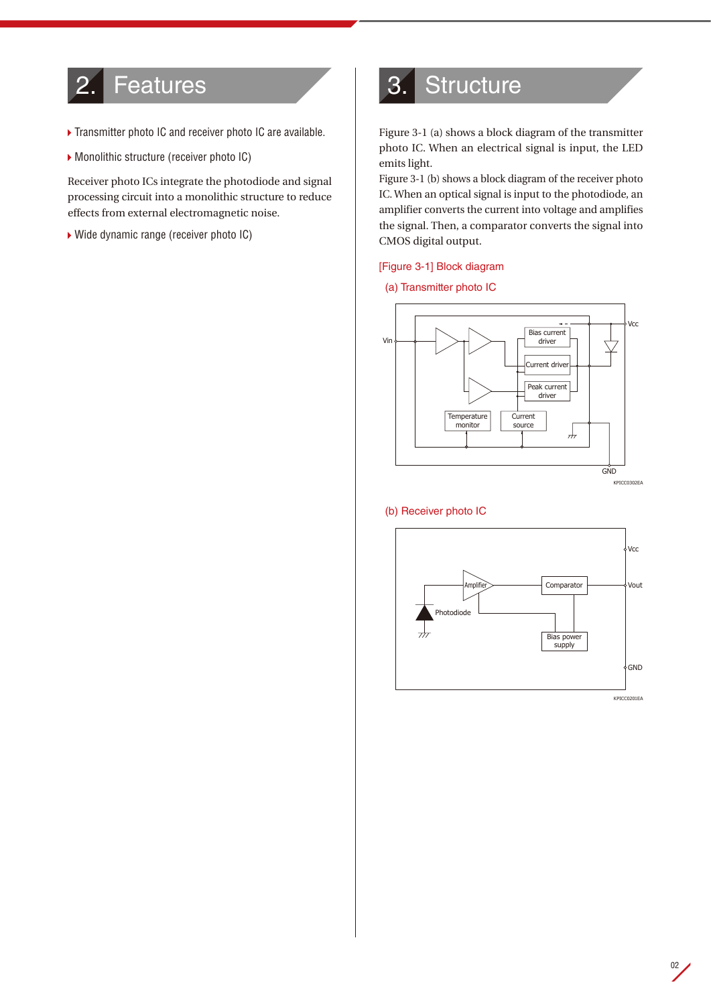# <span id="page-1-0"></span>2. Features

- ▶ Transmitter photo IC and receiver photo IC are available.
- Monolithic structure (receiver photo IC)

Receiver photo ICs integrate the photodiode and signal processing circuit into a monolithic structure to reduce effects from external electromagnetic noise.

▶ Wide dynamic range (receiver photo IC)

# 3. Structure

Figure 3-1 (a) shows a block diagram of the transmitter photo IC. When an electrical signal is input, the LED | emits light.

Figure 3-1 (b) shows a block diagram of the receiver photo IC. When an optical signal is input to the photodiode, an amplifier converts the current into voltage and amplifies the signal. Then, a comparator converts the signal into CMOS digital output.

## [Figure 3-1] Block diagram

#### (a) Transmitter photo IC



#### (b) Receiver photo IC

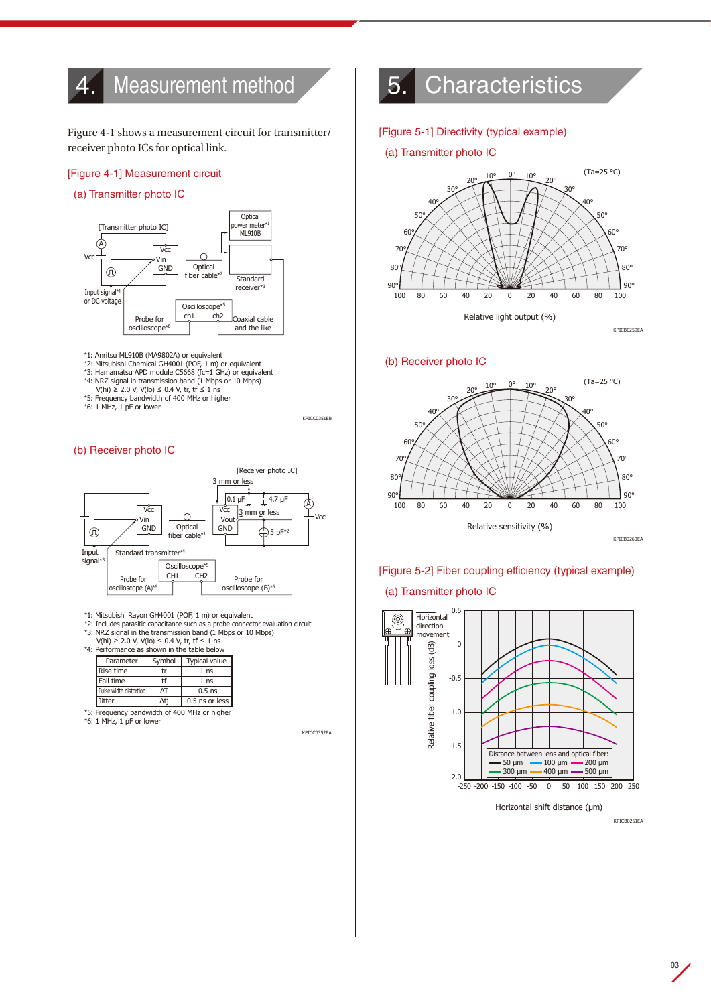# <span id="page-2-0"></span>4. Measurement method

Figure 4-1 shows a measurement circuit for transmitter/ receiver photo ICs for optical link.

#### [Figure 4-1] Measurement circuit

#### (a) Transmitter photo IC



- \*1: Anritsu ML910B (MA9802A) or equivalent
- \*2: Mitsubishi Chemical GH4001 (POF, 1 m) or equivalent<br>\*3: Hamamatsu APD module C5668 (fc=1 GHz) or equivalent
	-
	- \*4: NRZ signal in transmission band (1 Mbps or 10 Mbps) V(hi) ≥ 2.0 V, V(lo) ≤ 0.4 V, tr, tf ≤ 1 ns
	- \*5: Frequency bandwidth of 400 MHz or higher
	- \*6: 1 MHz, 1 pF or lower

KPICC0351EB

#### (b) Receiver photo IC



\*1: Mitsubishi Rayon GH4001 (POF, 1 m) or equivalent \*2: Includes parasitic capacitance such as a probe connector evaluation circuit

\*3: NRZ signal in the transmission band (1 Mbps or 10 Mbps)<br>V(hi) ≥ 2.0 V, V(lo) ≤ 0.4 V, tr, tf ≤ 1 ns

 $*(m) = 2m \cdot f \cdot (m) = 0 \cdot 1 \cdot f \cdot m$  in the table below

| <u>chonique as shown in the table below</u> |                        |        |                      |  |  |
|---------------------------------------------|------------------------|--------|----------------------|--|--|
|                                             | Parameter              | Symbol | <b>Typical value</b> |  |  |
|                                             | Rise time              |        | 1 <sub>ns</sub>      |  |  |
|                                             | Fall time              | tf     | 1 <sub>ns</sub>      |  |  |
|                                             | Pulse width distortion | ۸т     | $-0.5$ ns            |  |  |
|                                             | <b>Jitter</b>          | Δti    | $-0.5$ ns or less    |  |  |
|                                             |                        |        |                      |  |  |

\*5: Frequency bandwidth of 400 MHz or higher

\*6: 1 MHz, 1 pF or lower

KPICC0352EA

KPICC0352EA

# 5. Characteristics

#### [Figure 5-1] Directivity (typical example)

#### (a) Transmitter photo IC

Directivity



(b) Receiver photo IC



# [Figure 5-2] Fiber coupling efficiency (typical example)

# (a) Transmitter photo IC



Horizontal shift distance (µm)

KPICB0261EA

KPICB0259EA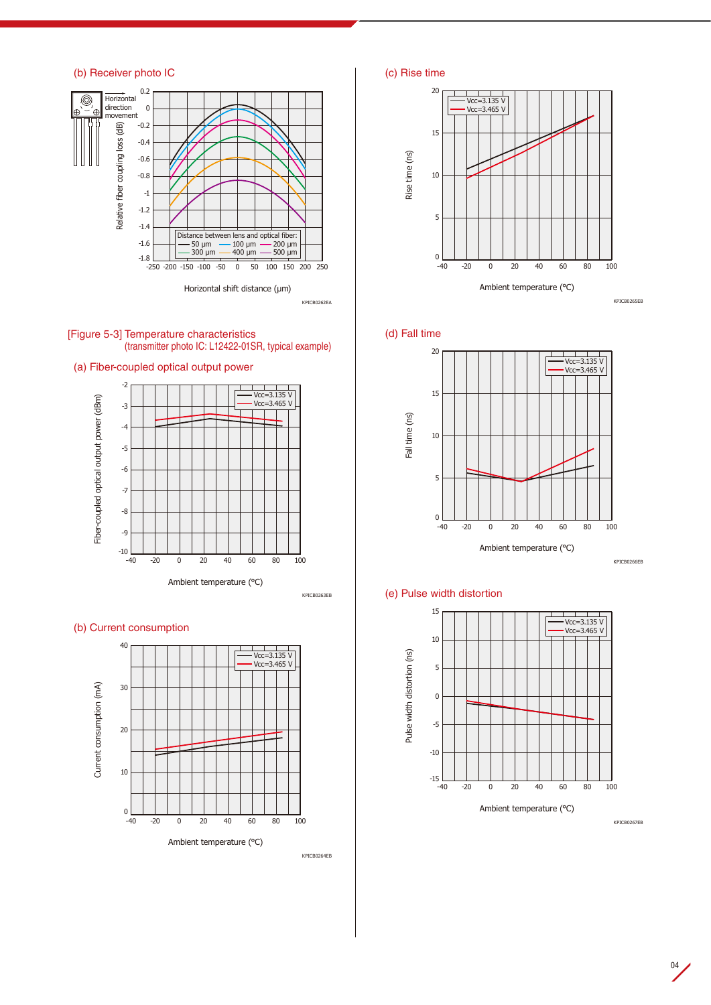# (b) Receiver photo IC











## (b) Current consumption



KPICB0264EB





(d) Fall time

KPICB0262EA



KPICB0266EB

# (e) Pulse width distortion



KPICB0267EB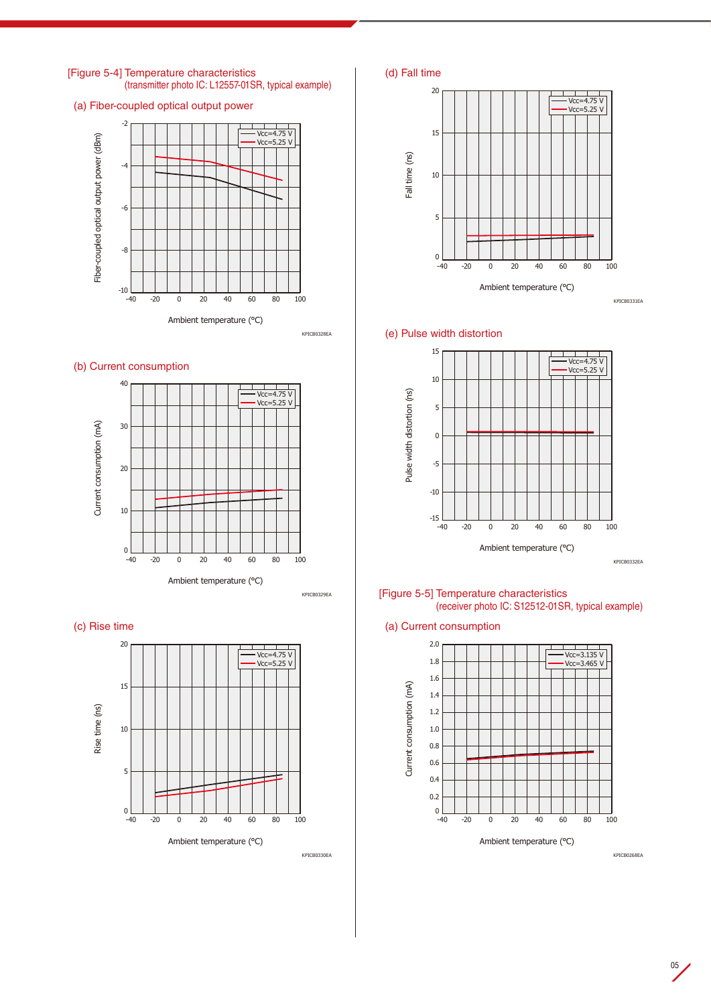

[Figure 5-4] Temperature characteristics

(transmitter photo IC: L12557-01SR, typical example)

Ambient temperature (°C)

-40 -20 0 20 40 60 80 100

 $0$   $\frac{1}{20}$ 

KPICB0330EA







KPICB0332EA

[Figure 5-5] Temperature characteristics (receiver photo IC: S12512-01SR, typical example)

(a) Current consumption



KPICB0268EA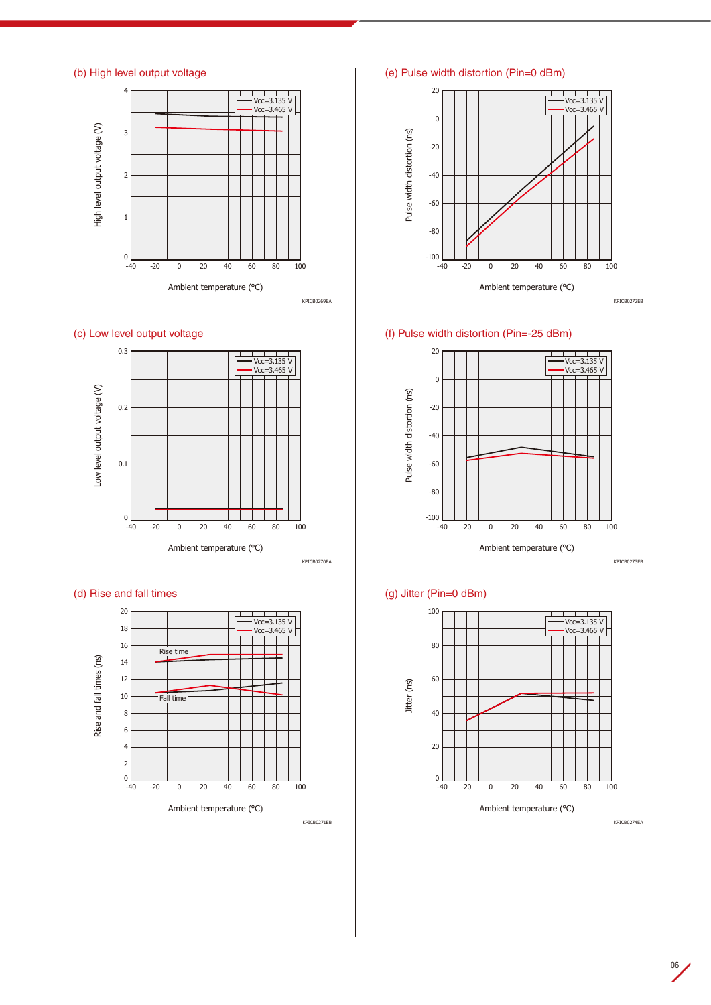





KPICB0270EA

KPICB0271EB





(e) Pulse width distortion (Pin=0 dBm)



KPICB0272EB

(f) Pulse width distortion (Pin=-25 dBm)



KPICB0273EB

# (g) Jitter (Pin=0 dBm)



KPICB0274EA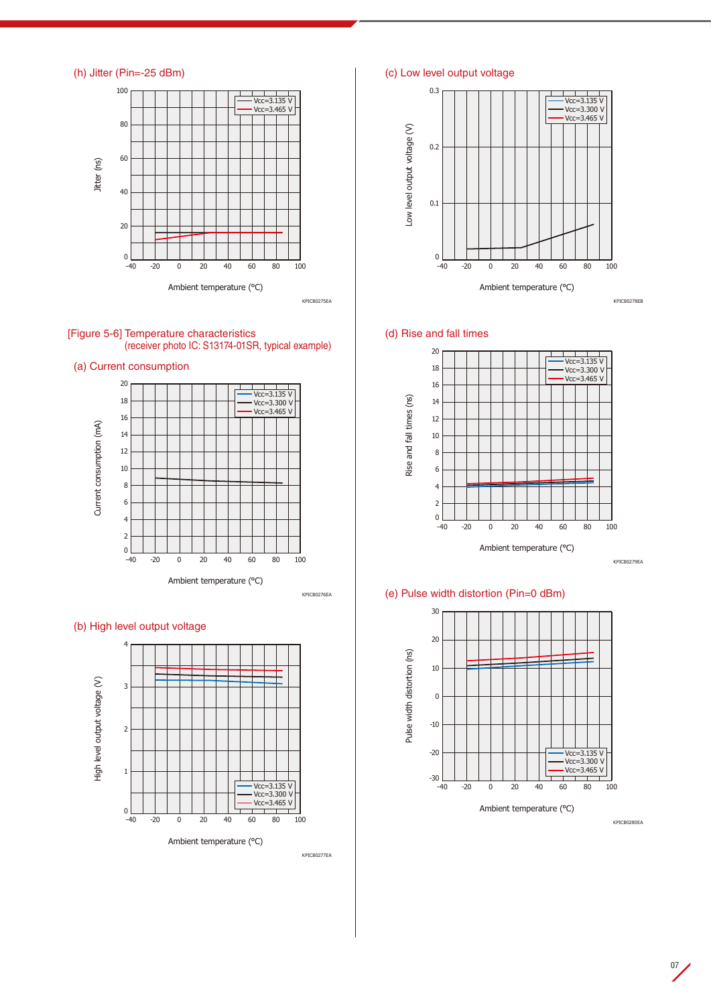











KPICB0277EA

(c) Low level output voltage



(d) Rise and fall times



KPICB0279EA

# (e) Pulse width distortion (Pin=0 dBm)



KPICB0280EA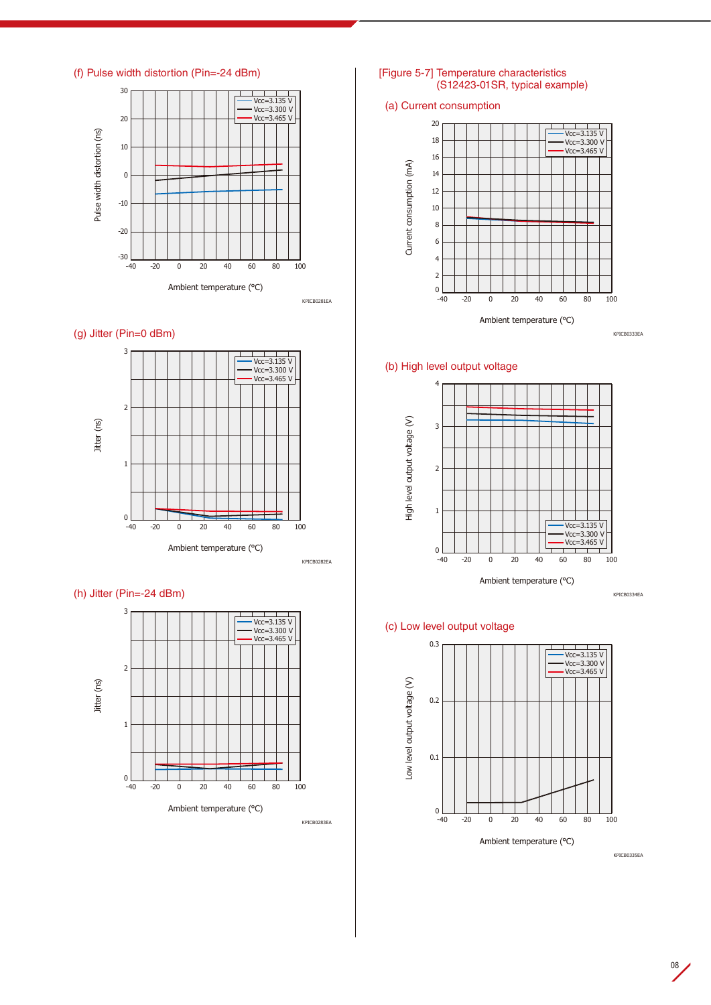





KPICB0282EA

KPICB0283EA

# (h) Jitter (Pin=-24 dBm)



#### [Figure 5-7] Temperature characteristics (S12423-01SR, typical example)

## (a) Current consumption



## (b) High level output voltage



KPICB0334EA

## (c) Low level output voltage



KPICB0335EA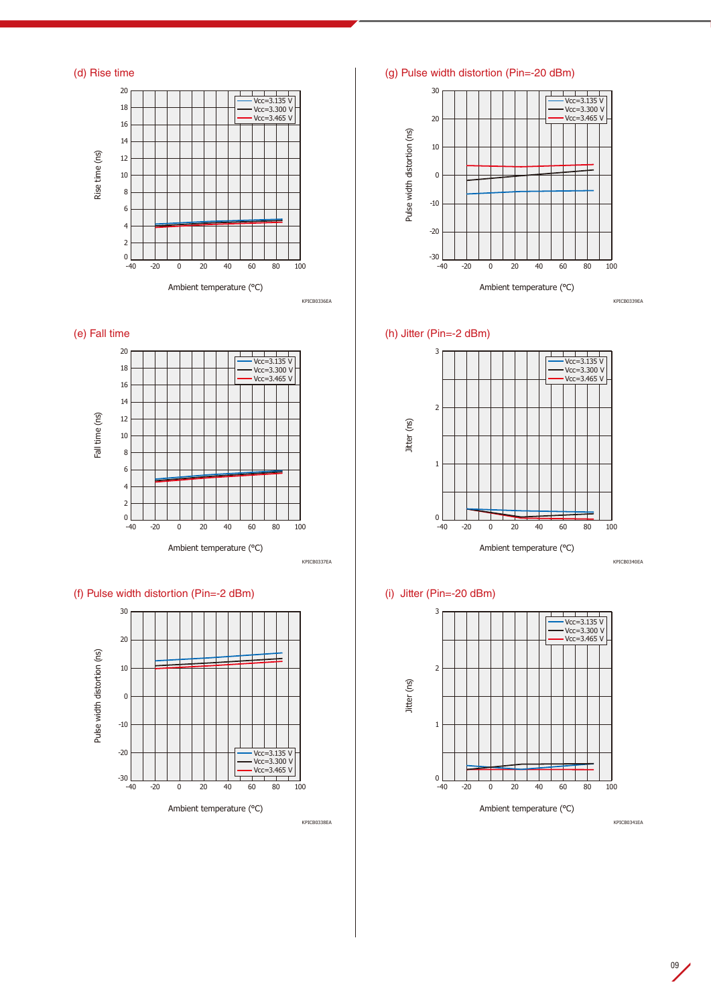





# (f) Pulse width distortion (Pin=-2 dBm)



KPICB0338EA

KPICB0337EA

(g) Pulse width distortion (Pin=-20 dBm)



## (h) Jitter (Pin=-2 dBm)



KPICB0340EA

# (i) Jitter (Pin=-20 dBm)



KPICB0341EA